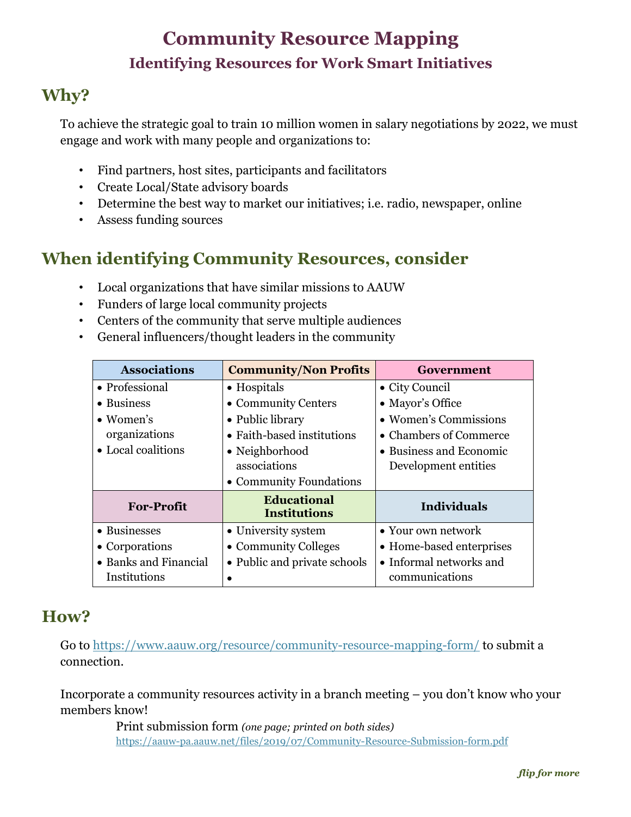# **Community Resource Mapping Identifying Resources for Work Smart Initiatives**

## **Why?**

To achieve the strategic goal to train 10 million women in salary negotiations by 2022, we must engage and work with many people and organizations to:

- Find partners, host sites, participants and facilitators
- Create Local/State advisory boards
- Determine the best way to market our initiatives; i.e. radio, newspaper, online
- Assess funding sources

# **When identifying Community Resources, consider**

- Local organizations that have similar missions to AAUW
- Funders of large local community projects
- Centers of the community that serve multiple audiences
- General influencers/thought leaders in the community

| <b>Associations</b>   | <b>Community/Non Profits</b>              | Government               |
|-----------------------|-------------------------------------------|--------------------------|
| • Professional        | • Hospitals                               | • City Council           |
| • Business            | • Community Centers                       | • Mayor's Office         |
| $\bullet$ Women's     | • Public library                          | • Women's Commissions    |
| organizations         | • Faith-based institutions                | • Chambers of Commerce   |
| • Local coalitions    | • Neighborhood                            | • Business and Economic  |
|                       | associations                              | Development entities     |
|                       | • Community Foundations                   |                          |
| <b>For-Profit</b>     | <b>Educational</b><br><b>Institutions</b> | <b>Individuals</b>       |
| • Businesses          | • University system                       | • Your own network       |
| • Corporations        | • Community Colleges                      | • Home-based enterprises |
| • Banks and Financial | • Public and private schools              | • Informal networks and  |
| Institutions          |                                           | communications           |

### **How?**

Go to<https://www.aauw.org/resource/community-resource-mapping-form/> to submit a connection.

Incorporate a community resources activity in a branch meeting – you don't know who your members know!

> Print submission form *(one page; printed on both sides)* <https://aauw-pa.aauw.net/files/2019/07/Community-Resource-Submission-form.pdf>